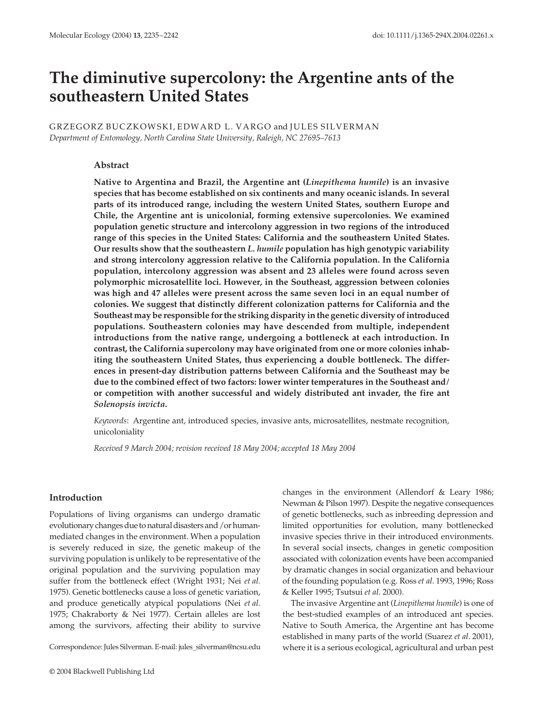# The diminutive supercolony: the Argentine ants of the **southeastern United States**

GRZEGORZ BUCZKOWSKI, EDWARD L. VARGO and JULES SILVERMAN *Department of Entomology, North Carolina State University, Raleigh, NC 27695–7613*

# **Abstract**

**Native to Argentina and Brazil, the Argentine ant (***Linepithema humile***) is an invasive species that has become established on six continents and many oceanic islands. In several parts of its introduced range, including the western United States, southern Europe and Chile, the Argentine ant is unicolonial, forming extensive supercolonies. We examined population genetic structure and intercolony aggression in two regions of the introduced range of this species in the United States: California and the southeastern United States. Our results show that the southeastern** *L. humile* **population has high genotypic variability and strong intercolony aggression relative to the California population. In the California population, intercolony aggression was absent and 23 alleles were found across seven polymorphic microsatellite loci. However, in the Southeast, aggression between colonies was high and 47 alleles were present across the same seven loci in an equal number of colonies. We suggest that distinctly different colonization patterns for California and the Southeast may be responsible for the striking disparity in the genetic diversity of introduced populations. Southeastern colonies may have descended from multiple, independent introductions from the native range, undergoing a bottleneck at each introduction. In contrast, the California supercolony may have originated from one or more colonies inhabiting the southeastern United States, thus experiencing a double bottleneck. The differences in present-day distribution patterns between California and the Southeast may be due to the combined effect of two factors: lower winter temperatures in the Southeast and/ or competition with another successful and widely distributed ant invader, the fire ant** *Solenopsis invicta***.**

*Keywords*: Argentine ant, introduced species, invasive ants, microsatellites, nestmate recognition, unicoloniality

*Received 9 March 2004; revision received 18 May 2004; accepted 18 May 2004*

# **Introduction**

Populations of living organisms can undergo dramatic evolutionary changes due to natural disasters and/or humanmediated changes in the environment. When a population is severely reduced in size, the genetic makeup of the surviving population is unlikely to be representative of the original population and the surviving population may suffer from the bottleneck effect (Wright 1931; Nei *et al*. 1975). Genetic bottlenecks cause a loss of genetic variation, and produce genetically atypical populations (Nei *et al*. 1975; Chakraborty & Nei 1977). Certain alleles are lost among the survivors, affecting their ability to survive

changes in the environment (Allendorf & Leary 1986; Newman & Pilson 1997). Despite the negative consequences of genetic bottlenecks, such as inbreeding depression and limited opportunities for evolution, many bottlenecked invasive species thrive in their introduced environments. In several social insects, changes in genetic composition associated with colonization events have been accompanied by dramatic changes in social organization and behaviour of the founding population (e.g. Ross *et al*. 1993, 1996; Ross & Keller 1995; Tsutsui *et al*. 2000).

The invasive Argentine ant (*Linepithema humile*) is one of the best-studied examples of an introduced ant species. Native to South America, the Argentine ant has become established in many parts of the world (Suarez *et al*. 2001), Correspondence: Jules Silverman. E-mail: jules\_silverman@ncsu.edu where it is a serious ecological, agricultural and urban pest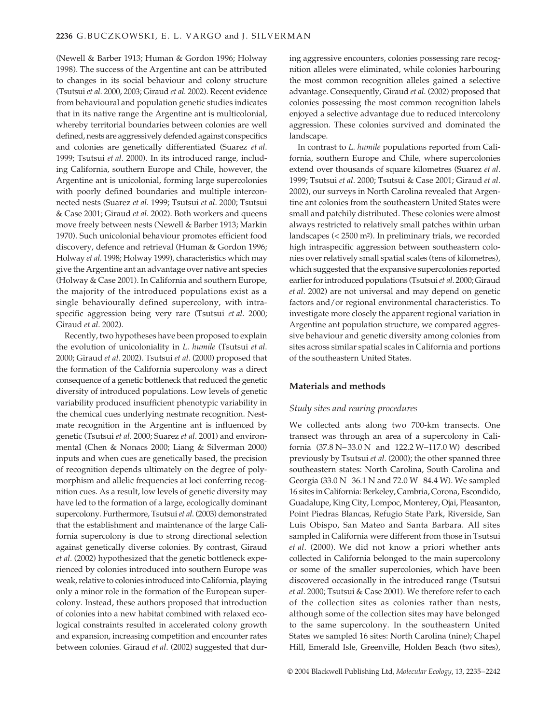(Newell & Barber 1913; Human & Gordon 1996; Holway 1998). The success of the Argentine ant can be attributed to changes in its social behaviour and colony structure (Tsutsui *et al*. 2000, 2003; Giraud *et al*. 2002). Recent evidence from behavioural and population genetic studies indicates that in its native range the Argentine ant is multicolonial, whereby territorial boundaries between colonies are well defined, nests are aggressively defended against conspecifics and colonies are genetically differentiated (Suarez *et al*. 1999; Tsutsui *et al*. 2000). In its introduced range, including California, southern Europe and Chile, however, the Argentine ant is unicolonial, forming large supercolonies with poorly defined boundaries and multiple interconnected nests (Suarez *et al*. 1999; Tsutsui *et al*. 2000; Tsutsui & Case 2001; Giraud *et al*. 2002). Both workers and queens move freely between nests (Newell & Barber 1913; Markin 1970). Such unicolonial behaviour promotes efficient food discovery, defence and retrieval (Human & Gordon 1996; Holway *et al*. 1998; Holway 1999), characteristics which may give the Argentine ant an advantage over native ant species (Holway & Case 2001). In California and southern Europe, the majority of the introduced populations exist as a single behaviourally defined supercolony, with intraspecific aggression being very rare (Tsutsui *et al*. 2000; Giraud *et al*. 2002).

Recently, two hypotheses have been proposed to explain the evolution of unicoloniality in *L. humile* (Tsutsui *et al*. 2000; Giraud *et al*. 2002). Tsutsui *et al*. (2000) proposed that the formation of the California supercolony was a direct consequence of a genetic bottleneck that reduced the genetic diversity of introduced populations. Low levels of genetic variability produced insufficient phenotypic variability in the chemical cues underlying nestmate recognition. Nestmate recognition in the Argentine ant is influenced by genetic (Tsutsui *et al*. 2000; Suarez *et al*. 2001) and environmental (Chen & Nonacs 2000; Liang & Silverman 2000) inputs and when cues are genetically based, the precision of recognition depends ultimately on the degree of polymorphism and allelic frequencies at loci conferring recognition cues. As a result, low levels of genetic diversity may have led to the formation of a large, ecologically dominant supercolony. Furthermore, Tsutsui *et al*. (2003) demonstrated that the establishment and maintenance of the large California supercolony is due to strong directional selection against genetically diverse colonies. By contrast, Giraud *et al*. (2002) hypothesized that the genetic bottleneck experienced by colonies introduced into southern Europe was weak, relative to colonies introduced into California, playing only a minor role in the formation of the European supercolony. Instead, these authors proposed that introduction of colonies into a new habitat combined with relaxed ecological constraints resulted in accelerated colony growth and expansion, increasing competition and encounter rates between colonies. Giraud *et al*. (2002) suggested that during aggressive encounters, colonies possessing rare recognition alleles were eliminated, while colonies harbouring the most common recognition alleles gained a selective advantage. Consequently, Giraud *et al*. (2002) proposed that colonies possessing the most common recognition labels enjoyed a selective advantage due to reduced intercolony aggression. These colonies survived and dominated the landscape.

In contrast to *L. humile* populations reported from California, southern Europe and Chile, where supercolonies extend over thousands of square kilometres (Suarez *et al*. 1999; Tsutsui *et al*. 2000; Tsutsui & Case 2001; Giraud *et al*. 2002), our surveys in North Carolina revealed that Argentine ant colonies from the southeastern United States were small and patchily distributed. These colonies were almost always restricted to relatively small patches within urban landscapes (< 2500 m2). In preliminary trials, we recorded high intraspecific aggression between southeastern colonies over relatively small spatial scales (tens of kilometres), which suggested that the expansive supercolonies reported earlier for introduced populations (Tsutsui *et al*. 2000; Giraud *et al*. 2002) are not universal and may depend on genetic factors and/or regional environmental characteristics. To investigate more closely the apparent regional variation in Argentine ant population structure, we compared aggressive behaviour and genetic diversity among colonies from sites across similar spatial scales in California and portions of the southeastern United States.

# **Materials and methods**

#### *Study sites and rearing procedures*

We collected ants along two 700-km transects. One transect was through an area of a supercolony in California (37.8 N−33.0 N and 122.2 W−117.0 W) described previously by Tsutsui *et al*. (2000); the other spanned three southeastern states: North Carolina, South Carolina and Georgia (33.0 N−36.1 N and 72.0 W−84.4 W). We sampled 16 sites in California: Berkeley, Cambria, Corona, Escondido, Guadalupe, King City, Lompoc, Monterey, Ojai, Pleasanton, Point Piedras Blancas, Refugio State Park, Riverside, San Luis Obispo, San Mateo and Santa Barbara. All sites sampled in California were different from those in Tsutsui *et al*. (2000). We did not know a priori whether ants collected in California belonged to the main supercolony or some of the smaller supercolonies, which have been discovered occasionally in the introduced range (Tsutsui *et al*. 2000; Tsutsui & Case 2001). We therefore refer to each of the collection sites as colonies rather than nests, although some of the collection sites may have belonged to the same supercolony. In the southeastern United States we sampled 16 sites: North Carolina (nine); Chapel Hill, Emerald Isle, Greenville, Holden Beach (two sites),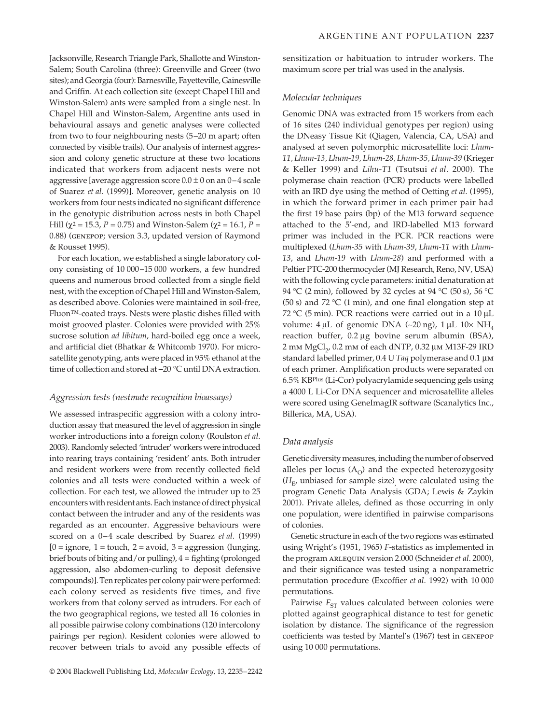Jacksonville, Research Triangle Park, Shallotte and Winston-Salem; South Carolina (three): Greenville and Greer (two sites); and Georgia (four): Barnesville, Fayetteville, Gainesville and Griffin. At each collection site (except Chapel Hill and Winston-Salem) ants were sampled from a single nest. In Chapel Hill and Winston-Salem, Argentine ants used in behavioural assays and genetic analyses were collected from two to four neighbouring nests (5–20 m apart; often connected by visible trails). Our analysis of internest aggression and colony genetic structure at these two locations indicated that workers from adjacent nests were not aggressive [average aggression score  $0.0 \pm 0$  on an  $0 - 4$  scale of Suarez *et al*. (1999)]. Moreover, genetic analysis on 10 workers from four nests indicated no significant difference in the genotypic distribution across nests in both Chapel Hill ( $χ$ <sup>2</sup> = 15.3, *P* = 0.75) and Winston-Salem ( $χ$ <sup>2</sup> = 16.1, *P* = 0.88) (genepop; version 3.3, updated version of Raymond & Rousset 1995).

For each location, we established a single laboratory colony consisting of 10 000–15 000 workers, a few hundred queens and numerous brood collected from a single field nest, with the exception of Chapel Hill and Winston-Salem, as described above. Colonies were maintained in soil-free, Fluon™-coated trays. Nests were plastic dishes filled with moist grooved plaster. Colonies were provided with 25% sucrose solution *ad libitum*, hard-boiled egg once a week, and artificial diet (Bhatkar & Whitcomb 1970). For microsatellite genotyping, ants were placed in 95% ethanol at the time of collection and stored at −20 °C until DNA extraction.

#### *Aggression tests (nestmate recognition bioassays)*

We assessed intraspecific aggression with a colony introduction assay that measured the level of aggression in single worker introductions into a foreign colony (Roulston *et al*. 2003). Randomly selected 'intruder' workers were introduced into rearing trays containing 'resident' ants. Both intruder and resident workers were from recently collected field colonies and all tests were conducted within a week of collection. For each test, we allowed the intruder up to 25 encounters with resident ants. Each instance of direct physical contact between the intruder and any of the residents was regarded as an encounter. Aggressive behaviours were scored on a 0–4 scale described by Suarez *et al*. (1999)  $[0 = \text{ignore}, 1 = \text{touch}, 2 = \text{avoid}, 3 = \text{aggression (lunging},$ brief bouts of biting and/or pulling), 4 = fighting (prolonged aggression, also abdomen-curling to deposit defensive compounds)]. Ten replicates per colony pair were performed: each colony served as residents five times, and five workers from that colony served as intruders. For each of the two geographical regions, we tested all 16 colonies in all possible pairwise colony combinations (120 intercolony pairings per region). Resident colonies were allowed to recover between trials to avoid any possible effects of sensitization or habituation to intruder workers. The maximum score per trial was used in the analysis.

# *Molecular techniques*

Genomic DNA was extracted from 15 workers from each of 16 sites (240 individual genotypes per region) using the DNeasy Tissue Kit (Qiagen, Valencia, CA, USA) and analysed at seven polymorphic microsatellite loci: *Lhum-11, Lhum-13, Lhum-19, Lhum-28, Lhum-35, Lhum-39* (Krieger & Keller 1999) and *Lihu-T1* (Tsutsui *et al*. 2000). The polymerase chain reaction (PCR) products were labelled with an IRD dye using the method of Oetting *et al*. (1995), in which the forward primer in each primer pair had the first 19 base pairs (bp) of the M13 forward sequence attached to the 5′-end, and IRD-labelled M13 forward primer was included in the PCR. PCR reactions were multiplexed (*Lhum-35* with *Lhum-39*, *Lhum-11* with *Lhum-13*, and *Lhum-19* with *Lhum-28*) and performed with a Peltier PTC-200 thermocycler (MJ Research, Reno, NV, USA) with the following cycle parameters: initial denaturation at 94 °C (2 min), followed by 32 cycles at 94 °C (50 s), 56 °C (50 s) and 72 °C (1 min), and one final elongation step at 72 °C (5 min). PCR reactions were carried out in a  $10 \mu L$ volume: 4 μL of genomic DNA (∼20 ng), 1 μL 10× NH<sub>4</sub> reaction buffer, 0.2 µg bovine serum albumin (BSA), 2 mm MgCl<sub>2</sub>, 0.2 mm of each dNTP, 0.32 µm M13F-29 IRD standard labelled primer, 0.4 U *Taq* polymerase and 0.1 µm of each primer. Amplification products were separated on 6.5% KBPlus (Li-Cor) polyacrylamide sequencing gels using a 4000 L Li-Cor DNA sequencer and microsatellite alleles were scored using GeneImagIR software (Scanalytics Inc., Billerica, MA, USA).

#### *Data analysis*

Genetic diversity measures, including the number of observed alleles per locus  $(A<sub>O</sub>)$  and the expected heterozygosity  $(H<sub>E</sub>)$ , unbiased for sample size) were calculated using the program Genetic Data Analysis (GDA; Lewis & Zaykin 2001). Private alleles, defined as those occurring in only one population, were identified in pairwise comparisons of colonies.

Genetic structure in each of the two regions was estimated using Wright's (1951, 1965) *F*-statistics as implemented in the program arlequin version 2.000 (Schneider *et al*. 2000), and their significance was tested using a nonparametric permutation procedure (Excoffier *et al*. 1992) with 10 000 permutations.

Pairwise  $F_{ST}$  values calculated between colonies were plotted against geographical distance to test for genetic isolation by distance. The significance of the regression coefficients was tested by Mantel's (1967) test in genepop using 10 000 permutations.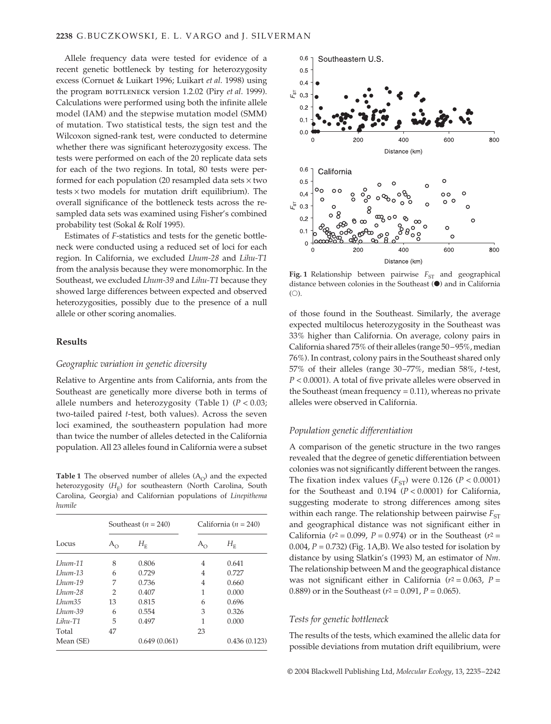Allele frequency data were tested for evidence of a recent genetic bottleneck by testing for heterozygosity excess (Cornuet & Luikart 1996; Luikart *et al*. 1998) using the program **BOTTLENECK** version 1.2.02 (Piry *et al.* 1999). Calculations were performed using both the infinite allele model (IAM) and the stepwise mutation model (SMM) of mutation. Two statistical tests, the sign test and the Wilcoxon signed-rank test, were conducted to determine whether there was significant heterozygosity excess. The tests were performed on each of the 20 replicate data sets for each of the two regions. In total, 80 tests were performed for each population (20 resampled data sets  $\times$  two tests  $\times$  two models for mutation drift equilibrium). The overall significance of the bottleneck tests across the resampled data sets was examined using Fisher's combined probability test (Sokal & Rolf 1995).

Estimates of *F*-statistics and tests for the genetic bottleneck were conducted using a reduced set of loci for each region. In California, we excluded *Lhum-28* and *Lihu-T1* from the analysis because they were monomorphic. In the Southeast, we excluded *Lhum-39* and *Lihu-T1* because they showed large differences between expected and observed heterozygosities, possibly due to the presence of a null allele or other scoring anomalies.

#### **Results**

# *Geographic variation in genetic diversity*

Relative to Argentine ants from California, ants from the Southeast are genetically more diverse both in terms of allele numbers and heterozygosity (Table 1) (*P <* 0.03; two-tailed paired *t*-test, both values). Across the seven loci examined, the southeastern population had more than twice the number of alleles detected in the California population. All 23 alleles found in California were a subset

**Table 1** The observed number of alleles  $(A<sub>O</sub>)$  and the expected heterozygosity  $(H_F)$  for southeastern (North Carolina, South Carolina, Georgia) and Californian populations of *Linepithema humile*

| Locus          | Southeast $(n = 240)$ |                         | California ( $n = 240$ ) |              |
|----------------|-----------------------|-------------------------|--------------------------|--------------|
|                |                       | $H_{\textrm{\tiny{F}}}$ |                          | $H_{\rm E}$  |
| $I. human-11$  | 8                     | 0.806                   | 4                        | 0.641        |
| <i>Lhum-13</i> | 6                     | 0.729                   | 4                        | 0.727        |
| $I.$ hum-19    | 7                     | 0.736                   | 4                        | 0.660        |
| $I.$ hum-28    | 2                     | 0.407                   | 1                        | 0.000        |
| $I.$ hum $35$  | 13                    | 0.815                   | 6                        | 0.696        |
| $I.$ hum-39    | 6                     | 0.554                   | 3                        | 0.326        |
| Lihu-T1        | 5                     | 0.497                   | 1                        | 0.000        |
| Total          | 47                    |                         | 23                       |              |
| Mean (SE)      |                       | 0.649(0.061)            |                          | 0.436(0.123) |



**Fig. 1** Relationship between pairwise  $F_{ST}$  and geographical distance between colonies in the Southeast  $(\bullet)$  and in California  $(O).$ 

of those found in the Southeast. Similarly, the average expected multilocus heterozygosity in the Southeast was 33% higher than California. On average, colony pairs in California shared 75% of their alleles (range 50–95%, median 76%). In contrast, colony pairs in the Southeast shared only 57% of their alleles (range 30–77%, median 58%, *t*-test, *P* < 0.0001). A total of five private alleles were observed in the Southeast (mean frequency = 0.11), whereas no private alleles were observed in California.

#### *Population genetic differentiation*

A comparison of the genetic structure in the two ranges revealed that the degree of genetic differentiation between colonies was not significantly different between the ranges. The fixation index values  $(F_{ST})$  were 0.126 ( $P < 0.0001$ ) for the Southeast and 0.194 (*P <* 0.0001) for California, suggesting moderate to strong differences among sites within each range. The relationship between pairwise  $F_{ST}$ and geographical distance was not significant either in California ( $r^2 = 0.099$ ,  $P = 0.974$ ) or in the Southeast ( $r^2 =$ 0.004, *P* = 0.732) (Fig. 1A,B). We also tested for isolation by distance by using Slatkin's (1993) M, an estimator of *Nm*. The relationship between M and the geographical distance was not significant either in California ( $r^2 = 0.063$ ,  $P =$ 0.889) or in the Southeast ( $r^2 = 0.091$ ,  $P = 0.065$ ).

# *Tests for genetic bottleneck*

The results of the tests, which examined the allelic data for possible deviations from mutation drift equilibrium, were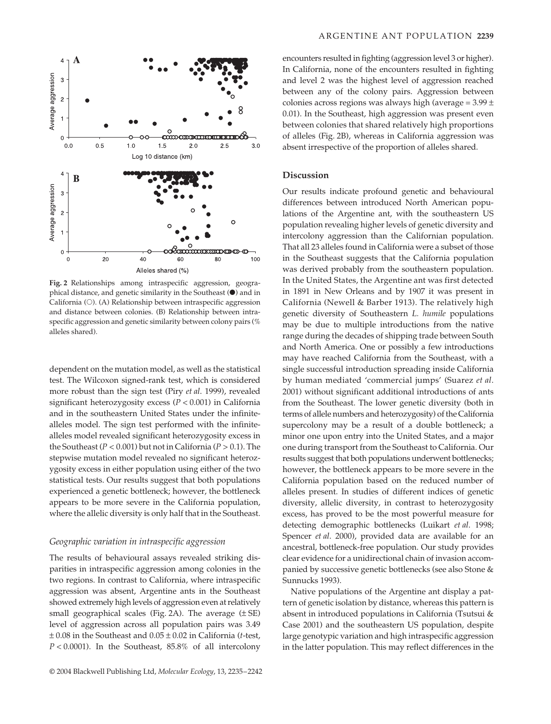

**Fig. 2** Relationships among intraspecific aggression, geographical distance, and genetic similarity in the Southeast  $(\bullet)$  and in California (O). (A) Relationship between intraspecific aggression and distance between colonies. (B) Relationship between intraspecific aggression and genetic similarity between colony pairs (% alleles shared).

dependent on the mutation model, as well as the statistical test. The Wilcoxon signed-rank test, which is considered more robust than the sign test (Piry *et al*. 1999), revealed significant heterozygosity excess (*P <* 0.001) in California and in the southeastern United States under the infinitealleles model. The sign test performed with the infinitealleles model revealed significant heterozygosity excess in the Southeast (*P <* 0.001) but not in California (*P* > 0.1). The stepwise mutation model revealed no significant heterozygosity excess in either population using either of the two statistical tests. Our results suggest that both populations experienced a genetic bottleneck; however, the bottleneck appears to be more severe in the California population, where the allelic diversity is only half that in the Southeast.

#### *Geographic variation in intraspecific aggression*

The results of behavioural assays revealed striking disparities in intraspecific aggression among colonies in the two regions. In contrast to California, where intraspecific aggression was absent, Argentine ants in the Southeast showed extremely high levels of aggression even at relatively small geographical scales (Fig. 2A). The average  $(\pm SE)$ level of aggression across all population pairs was 3.49 ± 0.08 in the Southeast and 0.05 ± 0.02 in California (*t*-test, *P* < 0.0001). In the Southeast, 85.8% of all intercolony encounters resulted in fighting (aggression level 3 or higher). In California, none of the encounters resulted in fighting and level 2 was the highest level of aggression reached between any of the colony pairs. Aggression between colonies across regions was always high (average =  $3.99 \pm$ 0.01). In the Southeast, high aggression was present even between colonies that shared relatively high proportions of alleles (Fig. 2B), whereas in California aggression was absent irrespective of the proportion of alleles shared.

## **Discussion**

Our results indicate profound genetic and behavioural differences between introduced North American populations of the Argentine ant, with the southeastern US population revealing higher levels of genetic diversity and intercolony aggression than the Californian population. That all 23 alleles found in California were a subset of those in the Southeast suggests that the California population was derived probably from the southeastern population. In the United States, the Argentine ant was first detected in 1891 in New Orleans and by 1907 it was present in California (Newell & Barber 1913). The relatively high genetic diversity of Southeastern *L. humile* populations may be due to multiple introductions from the native range during the decades of shipping trade between South and North America. One or possibly a few introductions may have reached California from the Southeast, with a single successful introduction spreading inside California by human mediated 'commercial jumps' (Suarez *et al*. 2001) without significant additional introductions of ants from the Southeast. The lower genetic diversity (both in terms of allele numbers and heterozygosity) of the California supercolony may be a result of a double bottleneck; a minor one upon entry into the United States, and a major one during transport from the Southeast to California. Our results suggest that both populations underwent bottlenecks; however, the bottleneck appears to be more severe in the California population based on the reduced number of alleles present. In studies of different indices of genetic diversity, allelic diversity, in contrast to heterozygosity excess, has proved to be the most powerful measure for detecting demographic bottlenecks (Luikart *et al*. 1998; Spencer *et al*. 2000), provided data are available for an ancestral, bottleneck-free population. Our study provides clear evidence for a unidirectional chain of invasion accompanied by successive genetic bottlenecks (see also Stone & Sunnucks 1993).

Native populations of the Argentine ant display a pattern of genetic isolation by distance, whereas this pattern is absent in introduced populations in California (Tsutsui & Case 2001) and the southeastern US population, despite large genotypic variation and high intraspecific aggression in the latter population. This may reflect differences in the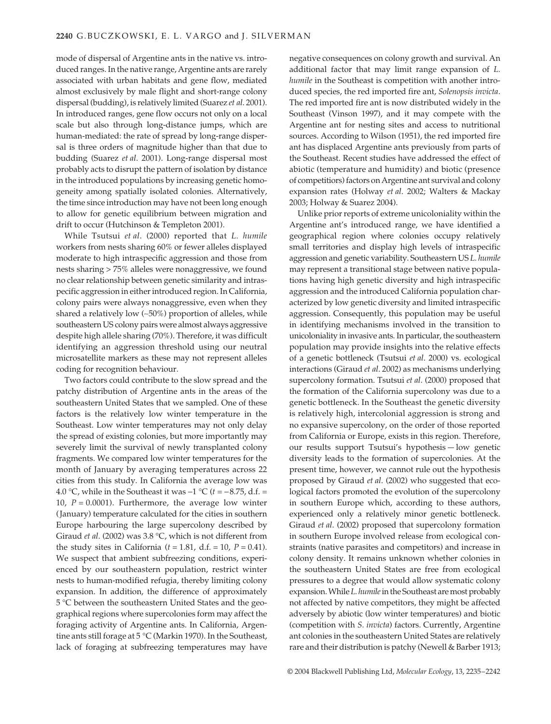mode of dispersal of Argentine ants in the native vs. introduced ranges. In the native range, Argentine ants are rarely associated with urban habitats and gene flow, mediated almost exclusively by male flight and short-range colony dispersal (budding), is relatively limited (Suarez *et al*. 2001). In introduced ranges, gene flow occurs not only on a local scale but also through long-distance jumps, which are human-mediated: the rate of spread by long-range dispersal is three orders of magnitude higher than that due to budding (Suarez *et al*. 2001). Long-range dispersal most probably acts to disrupt the pattern of isolation by distance in the introduced populations by increasing genetic homogeneity among spatially isolated colonies. Alternatively, the time since introduction may have not been long enough to allow for genetic equilibrium between migration and drift to occur (Hutchinson & Templeton 2001).

While Tsutsui *et al*. (2000) reported that *L. humile* workers from nests sharing 60% or fewer alleles displayed moderate to high intraspecific aggression and those from nests sharing > 75% alleles were nonaggressive, we found no clear relationship between genetic similarity and intraspecific aggression in either introduced region. In California, colony pairs were always nonaggressive, even when they shared a relatively low (∼50%) proportion of alleles, while southeastern US colony pairs were almost always aggressive despite high allele sharing (70%). Therefore, it was difficult identifying an aggression threshold using our neutral microsatellite markers as these may not represent alleles coding for recognition behaviour.

Two factors could contribute to the slow spread and the patchy distribution of Argentine ants in the areas of the southeastern United States that we sampled. One of these factors is the relatively low winter temperature in the Southeast. Low winter temperatures may not only delay the spread of existing colonies, but more importantly may severely limit the survival of newly transplanted colony fragments. We compared low winter temperatures for the month of January by averaging temperatures across 22 cities from this study. In California the average low was 4.0 °C, while in the Southeast it was −1 °C (*t* = −8.75, d.f. = 10,  $P = 0.0001$ ). Furthermore, the average low winter (January) temperature calculated for the cities in southern Europe harbouring the large supercolony described by Giraud *et al*. (2002) was 3.8 °C, which is not different from the study sites in California  $(t = 1.81, d.f. = 10, P = 0.41)$ . We suspect that ambient subfreezing conditions, experienced by our southeastern population, restrict winter nests to human-modified refugia, thereby limiting colony expansion. In addition, the difference of approximately 5 °C between the southeastern United States and the geographical regions where supercolonies form may affect the foraging activity of Argentine ants. In California, Argentine ants still forage at 5 °C (Markin 1970). In the Southeast, lack of foraging at subfreezing temperatures may have

negative consequences on colony growth and survival. An additional factor that may limit range expansion of *L. humile* in the Southeast is competition with another introduced species, the red imported fire ant, *Solenopsis invicta*. The red imported fire ant is now distributed widely in the Southeast (Vinson 1997), and it may compete with the Argentine ant for nesting sites and access to nutritional sources. According to Wilson (1951), the red imported fire ant has displaced Argentine ants previously from parts of the Southeast. Recent studies have addressed the effect of abiotic (temperature and humidity) and biotic (presence of competitiors) factors on Argentine ant survival and colony expansion rates (Holway *et al*. 2002; Walters & Mackay 2003; Holway & Suarez 2004).

Unlike prior reports of extreme unicoloniality within the Argentine ant's introduced range, we have identified a geographical region where colonies occupy relatively small territories and display high levels of intraspecific aggression and genetic variability. Southeastern US *L. humile* may represent a transitional stage between native populations having high genetic diversity and high intraspecific aggression and the introduced California population characterized by low genetic diversity and limited intraspecific aggression. Consequently, this population may be useful in identifying mechanisms involved in the transition to unicoloniality in invasive ants. In particular, the southeastern population may provide insights into the relative effects of a genetic bottleneck (Tsutsui *et al*. 2000) vs. ecological interactions (Giraud *et al*. 2002) as mechanisms underlying supercolony formation. Tsutsui *et al*. (2000) proposed that the formation of the California supercolony was due to a genetic bottleneck. In the Southeast the genetic diversity is relatively high, intercolonial aggression is strong and no expansive supercolony, on the order of those reported from California or Europe, exists in this region. Therefore, our results support Tsutsui's hypothesis — low genetic diversity leads to the formation of supercolonies. At the present time, however, we cannot rule out the hypothesis proposed by Giraud *et al*. (2002) who suggested that ecological factors promoted the evolution of the supercolony in southern Europe which, according to these authors, experienced only a relatively minor genetic bottleneck. Giraud *et al*. (2002) proposed that supercolony formation in southern Europe involved release from ecological constraints (native parasites and competitors) and increase in colony density. It remains unknown whether colonies in the southeastern United States are free from ecological pressures to a degree that would allow systematic colony expansion. While *L. humile*in the Southeast are most probably not affected by native competitors, they might be affected adversely by abiotic (low winter temperatures) and biotic (competition with *S. invicta*) factors. Currently, Argentine ant colonies in the southeastern United States are relatively rare and their distribution is patchy (Newell & Barber 1913;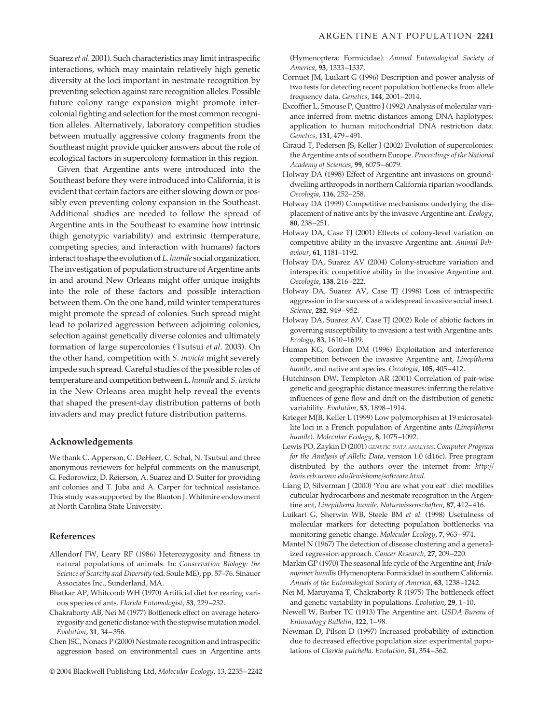Suarez *et al*. 2001). Such characteristics may limit intraspecific interactions, which may maintain relatively high genetic diversity at the loci important in nestmate recognition by preventing selection against rare recognition alleles. Possible future colony range expansion might promote intercolonial fighting and selection for the most common recognition alleles. Alternatively, laboratory competition studies between mutually aggressive colony fragments from the Southeast might provide quicker answers about the role of ecological factors in supercolony formation in this region.

Given that Argentine ants were introduced into the Southeast before they were introduced into California, it is evident that certain factors are either slowing down or possibly even preventing colony expansion in the Southeast. Additional studies are needed to follow the spread of Argentine ants in the Southeast to examine how intrinsic (high genotypic variability) and extrinsic (temperature, competing species, and interaction with humans) factors interact to shape the evolution of *L. humile* social organization. The investigation of population structure of Argentine ants in and around New Orleans might offer unique insights into the role of these factors and possible interaction between them. On the one hand, mild winter temperatures might promote the spread of colonies. Such spread might lead to polarized aggression between adjoining colonies, selection against genetically diverse colonies and ultimately formation of large supercolonies (Tsutsui *et al*. 2003). On the other hand, competition with *S. invicta* might severely impede such spread. Careful studies of the possible roles of temperature and competition between *L. humile* and *S. invicta* in the New Orleans area might help reveal the events that shaped the present-day distribution patterns of both invaders and may predict future distribution patterns.

## **Acknowledgements**

We thank C. Apperson, C. DeHeer, C. Schal, N. Tsutsui and three anonymous reviewers for helpful comments on the manuscript, G. Fedorowicz, D. Reierson, A. Suarez and D. Suiter for providing ant colonies and T. Juba and A. Carper for technical assistance. This study was supported by the Blanton J. Whitmire endowment at North Carolina State University.

#### **References**

- Allendorf FW, Leary RF (1986) Heterozygosity and fitness in natural populations of animals. In: *Conservation Biology: the Science of Scarcity and Diversity* (ed. Soule ME), pp. 57–76. Sinauer Associates Inc., Sunderland, MA.
- Bhatkar AP, Whitcomb WH (1970) Artificial diet for rearing various species of ants. *Florida Entomologist*, **53**, 229–232.
- Chakraborty AB, Nei M (1977) Bottleneck effect on average heterozygosity and genetic distance with the stepwise mutation model. *Evolution*, **31**, 34–356.
- Chen JSC, Nonacs P (2000) Nestmate recognition and intraspecific aggression based on environmental cues in Argentine ants
- © 2004 Blackwell Publishing Ltd, *Molecular Ecology*, 13, 2235–2242

(Hymenoptera: Formicidae). *Annual Entomological Society of America*, **93**, 1333–1337.

- Cornuet JM, Luikart G (1996) Description and power analysis of two tests for detecting recent population bottlenecks from allele frequency data. *Genetics*, **144**, 2001–2014.
- Excoffier L, Smouse P, Quattro J (1992) Analysis of molecular variance inferred from metric distances among DNA haplotypes: application to human mitochondrial DNA restriction data. *Genetics*, **131**, 479–491.
- Giraud T, Pedersen JS, Keller J (2002) Evolution of supercolonies: the Argentine ants of southern Europe. *Proceedings of the National Academy of Sciences*, **99**, 6075–6079.
- Holway DA (1998) Effect of Argentine ant invasions on grounddwelling arthropods in northern California riparian woodlands. *Oecologia*, **116**, 252–258.
- Holway DA (1999) Competitive mechanisms underlying the displacement of native ants by the invasive Argentine ant. *Ecology*, **80**, 238–251.
- Holway DA, Case TJ (2001) Effects of colony-level variation on competitive ability in the invasive Argentine ant. *Animal Behaviour*, **61**, 1181–1192.
- Holway DA, Suarez AV (2004) Colony-structure variation and interspecific competitive ability in the invasive Argentine ant. *Oecologia*, **138**, 216–222.
- Holway DA, Suarez AV, Case TJ (1998) Loss of intraspecific aggression in the success of a widespread invasive social insect. *Science*, **282**, 949–952.
- Holway DA, Suarez AV, Case TJ (2002) Role of abiotic factors in governing susceptibility to invasion: a test with Argentine ants. *Ecology*, **83**, 1610–1619.
- Human KG, Gordon DM (1996) Exploitation and interference competition between the invasive Argentine ant, *Linepithema humile*, and native ant species. *Oecologia*, **105**, 405–412.
- Hutchinson DW, Templeton AR (2001) Correlation of pair-wise genetic and geographic distance measures: inferring the relative influences of gene flow and drift on the distribution of genetic variability. *Evolution*, **53**, 1898–1914.
- Krieger MJB, Keller L (1999) Low polymorphism at 19 microsatellite loci in a French population of Argentine ants (*Linepithema humile*). *Molecular Ecology*, **8**, 1075–1092.
- Lewis PO, Zaykin D (2001) *GENETIC DATA ANALYSIS: Computer Program for the Analysis of Allelic Data*, version 1.0 (d16c). Free program distributed by the authors over the internet from: *http:// lewis.eeb.uconn.edu/lewishome/software.html.*
- Liang D, Silverman J (2000) 'You are what you eat': diet modifies cuticular hydrocarbons and nestmate recognition in the Argentine ant, *Linepithema humile*. *Naturwissenschaften*, **87**, 412–416.
- Luikart G, Sherwin WB, Steele BM *et al.* (1998) Usefulness of molecular markers for detecting population bottlenecks via monitoring genetic change. *Molecular Ecology*, **7**, 963–974.
- Mantel N (1967) The detection of disease clustering and a generalized regression approach. *Cancer Research*, **27**, 209–220.
- Markin GP (1970) The seasonal life cycle of the Argentine ant, *Iridomyrmex humilis* (Hymenoptera: Formicidae) in southern California. *Annals of the Entomological Society of America*, **63**, 1238–1242.
- Nei M, Maruyama T, Chakraborty R (1975) The bottleneck effect and genetic variability in populations. *Evolution*, **29**, 1–10.
- Newell W, Barber TC (1913) The Argentine ant. *USDA Bureau of Entomology Bulletin*, **122**, 1–98.
- Newman D, Pilson D (1997) Increased probability of extinction due to decreased effective population size: experimental populations of *Clarkia pulchella*. *Evolution*, **51**, 354–362.